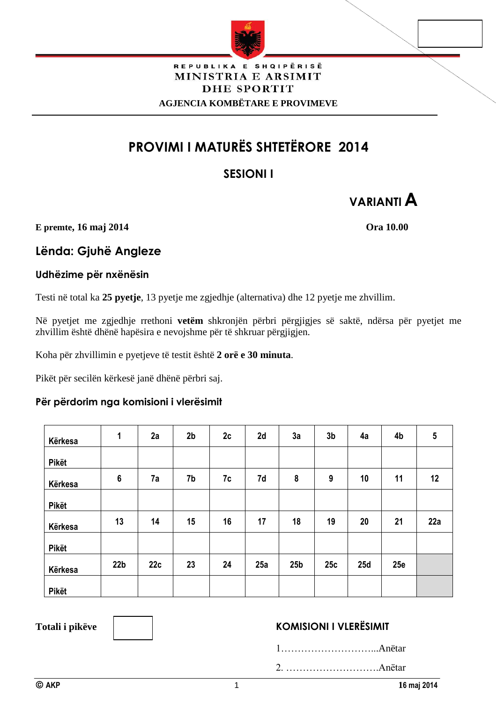

#### REPUBLIKA E SHQIPËRISË MINISTRIA E ARSIMIT **DHE SPORTIT AGJENCIA KOMBËTARE E PROVIMEVE**

# **PROVIMI I MATURËS SHTETËRORE 2014**

# **SESIONI I**



**E premte, 16 maj 2014 Ora 10.00**

# **Lënda: Gjuhë Angleze**

### **Udhëzime për nxënësin**

Testi në total ka **25 pyetje**, 13 pyetje me zgjedhje (alternativa) dhe 12 pyetje me zhvillim.

Në pyetjet me zgjedhje rrethoni **vetëm** shkronjën përbri përgjigjes së saktë, ndërsa për pyetjet me zhvillim është dhënë hapësira e nevojshme për të shkruar përgjigjen.

Koha për zhvillimin e pyetjeve të testit është **2 orë e 30 minuta**.

Pikët për secilën kërkesë janë dhënë përbri saj.

### **Për përdorim nga komisioni i vlerësimit**

| Kërkesa      | 1               | 2a  | 2 <sub>b</sub> | 2c | 2d  | 3a              | 3 <sub>b</sub> | 4a  | 4b  | 5   |
|--------------|-----------------|-----|----------------|----|-----|-----------------|----------------|-----|-----|-----|
| Pikët        |                 |     |                |    |     |                 |                |     |     |     |
| Kërkesa      | $6\phantom{a}$  | 7a  | 7b             | 7c | 7d  | 8               | 9              | 10  | 11  | 12  |
| Pikët        |                 |     |                |    |     |                 |                |     |     |     |
| Kërkesa      | 13              | 14  | 15             | 16 | 17  | 18              | 19             | 20  | 21  | 22a |
| <b>Pikët</b> |                 |     |                |    |     |                 |                |     |     |     |
| Kërkesa      | 22 <sub>b</sub> | 22c | 23             | 24 | 25a | 25 <sub>b</sub> | 25c            | 25d | 25e |     |
| Pikët        |                 |     |                |    |     |                 |                |     |     |     |

# Totali i pikëve **KOMISIONI I VLERËSIMIT**

1………………………...Anëtar

2. ……………………….Anëtar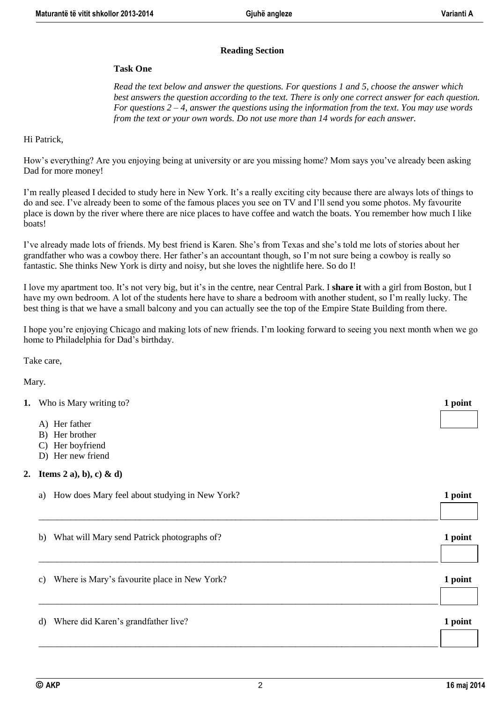#### **Reading Section**

#### **Task One**

*Read the text below and answer the questions. For questions 1 and 5, choose the answer which best answers the question according to the text. There is only one correct answer for each question. For questions 2 – 4, answer the questions using the information from the text. You may use words from the text or your own words. Do not use more than 14 words for each answer.*

#### Hi Patrick,

How's everything? Are you enjoying being at university or are you missing home? Mom says you've already been asking Dad for more money!

I'm really pleased I decided to study here in New York. It's a really exciting city because there are always lots of things to do and see. I've already been to some of the famous places you see on TV and I'll send you some photos. My favourite place is down by the river where there are nice places to have coffee and watch the boats. You remember how much I like boats!

I've already made lots of friends. My best friend is Karen. She's from Texas and she's told me lots of stories about her grandfather who was a cowboy there. Her father's an accountant though, so I'm not sure being a cowboy is really so fantastic. She thinks New York is dirty and noisy, but she loves the nightlife here. So do I!

I love my apartment too. It's not very big, but it's in the centre, near Central Park. I **share it** with a girl from Boston, but I have my own bedroom. A lot of the students here have to share a bedroom with another student, so I'm really lucky. The best thing is that we have a small balcony and you can actually see the top of the Empire State Building from there.

I hope you're enjoying Chicago and making lots of new friends. I'm looking forward to seeing you next month when we go home to Philadelphia for Dad's birthday.

Take care,

Mary.

- **1.** Who is Mary writing to? **1 1** 
	- A) Her father
	- B) Her brother
	- C) Her boyfriend
	- D) Her new friend

#### **2. Items 2 a), b), c) & d)**

| How does Mary feel about studying in New York?<br>a) | 1 point |
|------------------------------------------------------|---------|
|                                                      |         |
| What will Mary send Patrick photographs of?<br>b)    | 1 point |
| Where is Mary's favourite place in New York?<br>c)   | 1 point |
|                                                      |         |
| Where did Karen's grandfather live?<br>d)            | 1 point |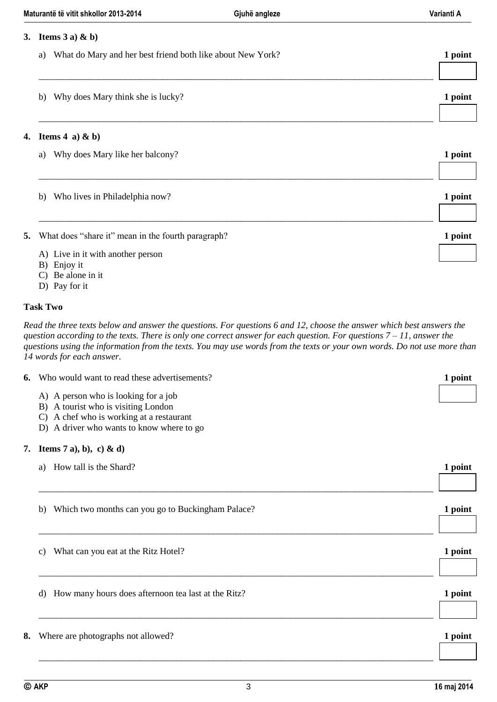|    | 3. Items $3$ a) & b)                                                                                 |         |
|----|------------------------------------------------------------------------------------------------------|---------|
|    | What do Mary and her best friend both like about New York?<br>a)                                     | 1 point |
|    | Why does Mary think she is lucky?<br>b)                                                              | 1 point |
| 4. | Items 4 a) & b)                                                                                      |         |
|    | Why does Mary like her balcony?<br>a)                                                                | 1 point |
|    | Who lives in Philadelphia now?<br>b)                                                                 | 1 point |
| 5. | What does "share it" mean in the fourth paragraph?                                                   | 1 point |
|    | A) Live in it with another person<br>B) Enjoy it<br>Be alone in it<br>$\mathcal{C}$<br>D) Pay for it |         |

#### **Task Two**

*Read the three texts below and answer the questions. For questions 6 and 12, choose the answer which best answers the question according to the texts. There is only one correct answer for each question. For questions 7 – 11, answer the questions using the information from the texts. You may use words from the texts or your own words. Do not use more than 14 words for each answer.*

| 6. | Who would want to read these advertisements?                                                                                                                                             | 1 point |
|----|------------------------------------------------------------------------------------------------------------------------------------------------------------------------------------------|---------|
|    | A) A person who is looking for a job<br>A tourist who is visiting London<br>B)<br>A chef who is working at a restaurant<br>$\mathcal{C}$<br>A driver who wants to know where to go<br>D) |         |
| 7. | Items 7 a), b), c) & d)                                                                                                                                                                  |         |
|    | How tall is the Shard?<br>a)                                                                                                                                                             | 1 point |
|    | Which two months can you go to Buckingham Palace?<br>b)                                                                                                                                  | 1 point |
|    | What can you eat at the Ritz Hotel?<br>$\mathcal{C}$ )                                                                                                                                   | 1 point |
|    | How many hours does afternoon tea last at the Ritz?<br>d)                                                                                                                                | 1 point |
| 8. | Where are photographs not allowed?                                                                                                                                                       | 1 point |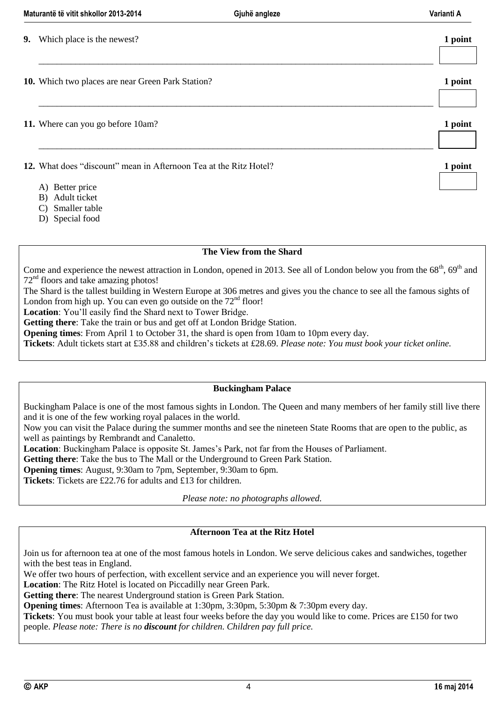| Maturantë të vitit shkollor 2013-2014                                  | Gjuhë angleze | Varianti A |
|------------------------------------------------------------------------|---------------|------------|
| Which place is the newest?<br>9.                                       |               | 1 point    |
| 10. Which two places are near Green Park Station?                      |               | 1 point    |
| 11. Where can you go before 10am?                                      |               | 1 point    |
| 12. What does "discount" mean in Afternoon Tea at the Ritz Hotel?      |               | 1 point    |
| A) Better price<br>Adult ticket<br>B)<br>Smaller table<br>$\mathbf{C}$ |               |            |

D) Special food

#### **The View from the Shard**

Come and experience the newest attraction in London, opened in 2013. See all of London below you from the  $68<sup>th</sup>$ ,  $69<sup>th</sup>$  and 72nd floors and take amazing photos!

The Shard is the tallest building in Western Europe at 306 metres and gives you the chance to see all the famous sights of London from high up. You can even go outside on the  $72<sup>nd</sup>$  floor!

**Location**: You'll easily find the Shard next to Tower Bridge.

**Getting there**: Take the train or bus and get off at London Bridge Station.

**Opening times**: From April 1 to October 31, the shard is open from 10am to 10pm every day.

**Tickets**: Adult tickets start at £35.88 and children's tickets at £28.69. *Please note: You must book your ticket online.*

#### **Buckingham Palace**

Buckingham Palace is one of the most famous sights in London. The Queen and many members of her family still live there and it is one of the few working royal palaces in the world.

Now you can visit the Palace during the summer months and see the nineteen State Rooms that are open to the public, as well as paintings by Rembrandt and Canaletto.

**Location**: Buckingham Palace is opposite St. James's Park, not far from the Houses of Parliament.

**Getting there**: Take the bus to The Mall or the Underground to Green Park Station.

**Opening times**: August, 9:30am to 7pm, September, 9:30am to 6pm.

**Tickets**: Tickets are £22.76 for adults and £13 for children.

*Please note: no photographs allowed.*

#### **Afternoon Tea at the Ritz Hotel**

Join us for afternoon tea at one of the most famous hotels in London. We serve delicious cakes and sandwiches, together with the best teas in England.

We offer two hours of perfection, with excellent service and an experience you will never forget.

**Location**: The Ritz Hotel is located on Piccadilly near Green Park.

**Getting there**: The nearest Underground station is Green Park Station.

**Opening times**: Afternoon Tea is available at 1:30pm, 3:30pm, 5:30pm & 7:30pm every day.

**Tickets**: You must book your table at least four weeks before the day you would like to come. Prices are £150 for two people. *Please note: There is no discount for children. Children pay full price.*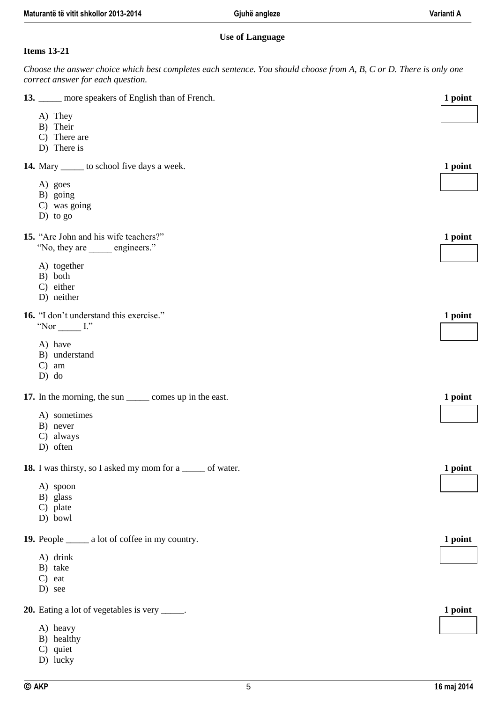#### **Use of Language**

#### **Items 13-21**

*Choose the answer choice which best completes each sentence. You should choose from A, B, C or D. There is only one correct answer for each question.*

| 13. _____ more speakers of English than of French.         | 1 point |
|------------------------------------------------------------|---------|
| A) They                                                    |         |
| B) Their                                                   |         |
| C) There are<br>D) There is                                |         |
|                                                            |         |
| 14. Mary _______ to school five days a week.               | 1 point |
| A) goes                                                    |         |
| B) going                                                   |         |
| C) was going                                               |         |
| $D)$ to go                                                 |         |
| 15. "Are John and his wife teachers?"                      | 1 point |
| "No, they are engineers."                                  |         |
| A) together                                                |         |
| B) both                                                    |         |
| C) either<br>D) neither                                    |         |
|                                                            |         |
| 16. "I don't understand this exercise."<br>"Nor $\_\_$ I." | 1 point |
|                                                            |         |
| A) have<br>B) understand                                   |         |
| $C)$ am                                                    |         |
| $D)$ do                                                    |         |
| 17. In the morning, the sun ________ comes up in the east. | 1 point |
|                                                            |         |
| A) sometimes<br>B) never                                   |         |
| C) always                                                  |         |
| D) often                                                   |         |
| 18. I was thirsty, so I asked my mom for a _____ of water. | 1 point |
|                                                            |         |
| A) spoon<br>B) glass                                       |         |
| C) plate                                                   |         |
| D) bowl                                                    |         |
| 19. People _______ a lot of coffee in my country.          | 1 point |
|                                                            |         |
| A) drink<br>B) take                                        |         |
| $C$ ) eat                                                  |         |
| D) see                                                     |         |
| <b>20.</b> Eating a lot of vegetables is very ______.      | 1 point |
|                                                            |         |
| A) heavy<br>B) healthy                                     |         |
| C) quiet                                                   |         |
| D) lucky                                                   |         |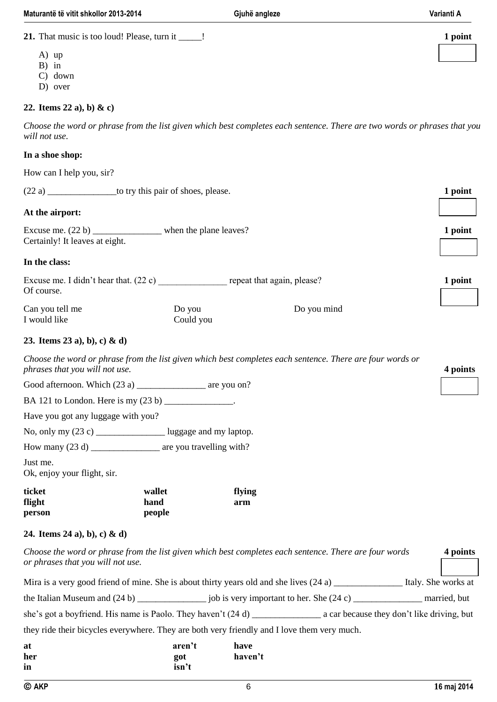**Maturantë të vitit shkollor 2013-2014 Gjuhë angleze Varianti A**

| 21. That music is too loud! Please, turn it _____! | 1 point |
|----------------------------------------------------|---------|
| $A)$ up                                            |         |
| $B)$ in                                            |         |
| down<br>$\mathcal{C}$                              |         |
| D)<br>over                                         |         |

#### **22. Items 22 a), b) & c)**

*Choose the word or phrase from the list given which best completes each sentence. There are two words or phrases that you will not use.*

#### **In a shoe shop:**

How can I help you, sir?

| (22 a) ___________________to try this pair of shoes, please.                                    |                          |                                                                                                                                      | 1 point  |
|-------------------------------------------------------------------------------------------------|--------------------------|--------------------------------------------------------------------------------------------------------------------------------------|----------|
| At the airport:                                                                                 |                          |                                                                                                                                      |          |
| Excuse me. (22 b) ____________________ when the plane leaves?<br>Certainly! It leaves at eight. |                          |                                                                                                                                      | 1 point  |
| In the class:                                                                                   |                          |                                                                                                                                      |          |
| Excuse me. I didn't hear that. (22 c) repeat that again, please?<br>Of course.                  |                          |                                                                                                                                      | 1 point  |
| Can you tell me<br>I would like                                                                 | Do you<br>Could you      | Do you mind                                                                                                                          |          |
| 23. Items 23 a), b), c) & d)                                                                    |                          |                                                                                                                                      |          |
| phrases that you will not use.                                                                  |                          | Choose the word or phrase from the list given which best completes each sentence. There are four words or                            | 4 points |
| Good afternoon. Which (23 a) ____________________ are you on?                                   |                          |                                                                                                                                      |          |
| BA 121 to London. Here is my (23 b) _______________.                                            |                          |                                                                                                                                      |          |
| Have you got any luggage with you?                                                              |                          |                                                                                                                                      |          |
| No, only my $(23 c)$ _____________________ luggage and my laptop.                               |                          |                                                                                                                                      |          |
| How many (23 d) ________________ are you travelling with?                                       |                          |                                                                                                                                      |          |
| Just me.<br>Ok, enjoy your flight, sir.                                                         |                          |                                                                                                                                      |          |
| ticket<br>flight<br>person                                                                      | wallet<br>hand<br>people | flying<br>arm                                                                                                                        |          |
| 24. Items 24 a), b), c) & d)                                                                    |                          |                                                                                                                                      |          |
| or phrases that you will not use.                                                               |                          | Choose the word or phrase from the list given which best completes each sentence. There are four words                               | 4 points |
|                                                                                                 |                          | Mira is a very good friend of mine. She is about thirty years old and she lives (24 a) _____________ Italy. She works at             |          |
|                                                                                                 |                          | the Italian Museum and $(24 b)$ ______________________ job is very important to her. She $(24 c)$ _____________________ married, but |          |
|                                                                                                 |                          | she's got a boyfriend. His name is Paolo. They haven't (24 d) ___________________ a car because they don't like driving, but         |          |

they ride their bicycles everywhere. They are both very friendly and I love them very much.

| at  | aren't | have    |
|-----|--------|---------|
| her | got    | haven't |
| in  | isn't  |         |
|     |        |         |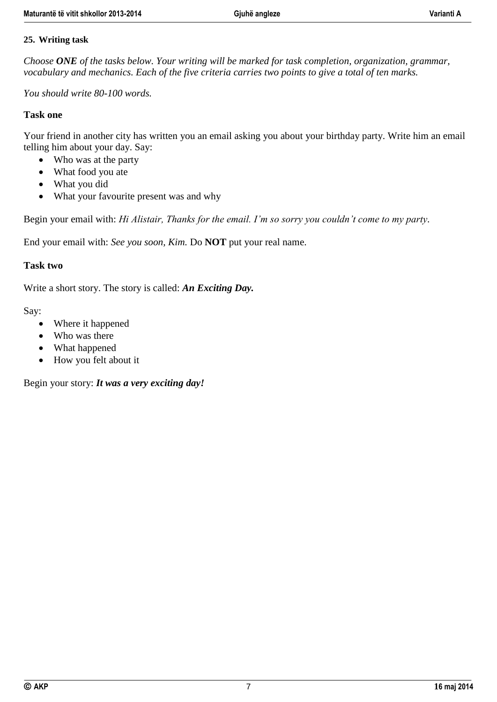# **25. Writing task**

*Choose ONE of the tasks below. Your writing will be marked for task completion, organization, grammar, vocabulary and mechanics. Each of the five criteria carries two points to give a total of ten marks.*

*You should write 80-100 words.*

# **Task one**

Your friend in another city has written you an email asking you about your birthday party. Write him an email telling him about your day. Say:

- Who was at the party
- What food you ate
- What you did
- What your favourite present was and why

Begin your email with: *Hi Alistair, Thanks for the email. I'm so sorry you couldn't come to my party.* 

End your email with: *See you soon, Kim.* Do **NOT** put your real name.

# **Task two**

Write a short story. The story is called: *An Exciting Day.* 

Say:

- Where it happened
- Who was there
- What happened
- How you felt about it

Begin your story: *It was a very exciting day!*